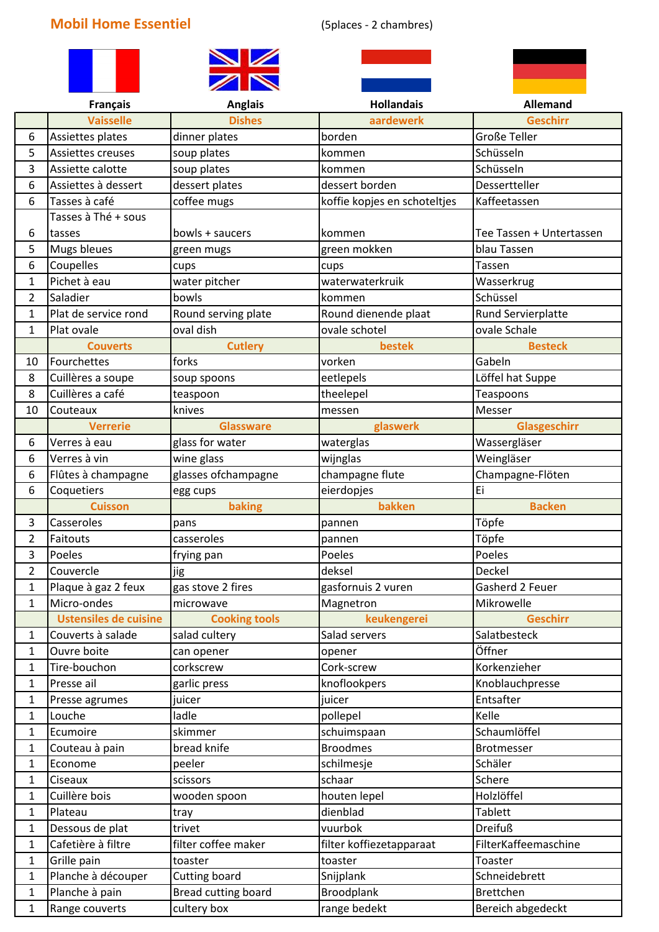## **Mobil Home Essentiel** (5places - 2 chambres)









|                | <b>Français</b>              | <b>Anglais</b>       | <b>Hollandais</b>            | <b>Allemand</b>          |
|----------------|------------------------------|----------------------|------------------------------|--------------------------|
|                | <b>Vaisselle</b>             | <b>Dishes</b>        | aardewerk                    | <b>Geschirr</b>          |
| 6              | Assiettes plates             | dinner plates        | borden                       | <b>Große Teller</b>      |
| 5              | Assiettes creuses            | soup plates          | kommen                       | Schüsseln                |
| 3              | Assiette calotte             | soup plates          | kommen                       | Schüsseln                |
| 6              | Assiettes à dessert          | dessert plates       | dessert borden               | Dessertteller            |
| 6              | Tasses à café                | coffee mugs          | koffie kopjes en schoteltjes | Kaffeetassen             |
|                | Tasses à Thé + sous          |                      |                              |                          |
| 6              | tasses                       | bowls + saucers      | kommen                       | Tee Tassen + Untertassen |
| 5              | Mugs bleues                  | green mugs           | green mokken                 | blau Tassen              |
| 6              | Coupelles                    | cups                 | cups                         | Tassen                   |
| 1              | Pichet à eau                 | water pitcher        | waterwaterkruik              | Wasserkrug               |
| $\overline{2}$ | Saladier                     | bowls                | kommen                       | Schüssel                 |
| 1              | Plat de service rond         | Round serving plate  | Round dienende plaat         | Rund Servierplatte       |
| 1              | Plat ovale                   | oval dish            | ovale schotel                | ovale Schale             |
|                | <b>Couverts</b>              | <b>Cutlery</b>       | bestek                       | <b>Besteck</b>           |
| 10             | Fourchettes                  | forks                | vorken                       | Gabeln                   |
| 8              | Cuillères a soupe            | soup spoons          | eetlepels                    | Löffel hat Suppe         |
| 8              | Cuillères a café             | teaspoon             | theelepel                    | Teaspoons                |
| 10             | Couteaux                     | knives               | messen                       | Messer                   |
|                | <b>Verrerie</b>              | <b>Glassware</b>     | glaswerk                     | Glasgeschirr             |
| 6              | Verres à eau                 | glass for water      | waterglas                    | Wassergläser             |
| 6              | Verres à vin                 | wine glass           | wijnglas                     | Weingläser               |
| 6              | Flûtes à champagne           | glasses ofchampagne  | champagne flute              | Champagne-Flöten         |
| 6              | Coquetiers                   | egg cups             | eierdopjes                   | Ei                       |
|                | <b>Cuisson</b>               | baking               | bakken                       | <b>Backen</b>            |
| 3              | Casseroles                   | pans                 | pannen                       | Töpfe                    |
| $\overline{2}$ | Faitouts                     | casseroles           | pannen                       | Töpfe                    |
| 3              | Poeles                       | frying pan           | Poeles                       | Poeles                   |
| $\overline{2}$ | Couvercle                    | jig                  | deksel                       | Deckel                   |
| 1              | Plaque à gaz 2 feux          | gas stove 2 fires    | gasfornuis 2 vuren           | Gasherd 2 Feuer          |
| 1              | Micro-ondes                  | microwave            | Magnetron                    | Mikrowelle               |
|                | <b>Ustensiles de cuisine</b> | <b>Cooking tools</b> | keukengerei                  | <b>Geschirr</b>          |
| 1              | Couverts à salade            | salad cultery        | Salad servers                | Salatbesteck             |
| 1              | Ouvre boite                  | can opener           | opener                       | Öffner                   |
| 1              | Tire-bouchon                 | corkscrew            | Cork-screw                   | Korkenzieher             |
| 1              | Presse ail                   | garlic press         | knoflookpers                 | Knoblauchpresse          |
| 1              | Presse agrumes               | juicer               | juicer                       | Entsafter                |
| 1              | Louche                       | ladle                | pollepel                     | Kelle                    |
| $\mathbf{1}$   | Ecumoire                     | skimmer              | schuimspaan                  | Schaumlöffel             |
| 1              | Couteau à pain               | bread knife          | <b>Broodmes</b>              | Brotmesser               |
| 1              | Econome                      | peeler               | schilmesje                   | Schäler                  |
| 1              | Ciseaux                      | scissors             | schaar                       | Schere                   |
| 1              | Cuillère bois                | wooden spoon         | houten lepel                 | Holzlöffel               |
| 1              | Plateau                      | tray                 | dienblad                     | <b>Tablett</b>           |
| 1              | Dessous de plat              | trivet               | vuurbok                      | <b>Dreifuß</b>           |
| $\mathbf{1}$   | Cafetière à filtre           | filter coffee maker  | filter koffiezetapparaat     | FilterKaffeemaschine     |
| 1              | Grille pain                  | toaster              | toaster                      | Toaster                  |
| 1              | Planche à découper           | Cutting board        | Snijplank                    | Schneidebrett            |
| 1              | Planche à pain               | Bread cutting board  | <b>Broodplank</b>            | <b>Brettchen</b>         |
| 1              | Range couverts               | cultery box          | range bedekt                 | Bereich abgedeckt        |
|                |                              |                      |                              |                          |